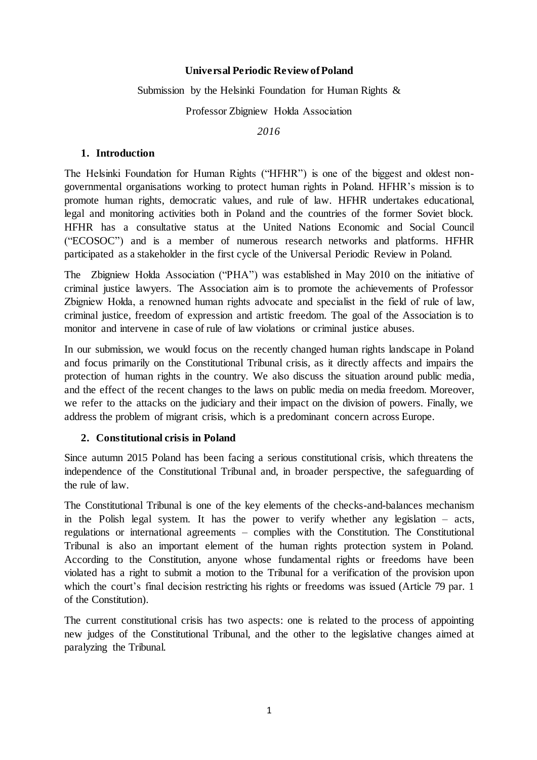#### **Universal Periodic Review of Poland**

#### Submission by the Helsinki Foundation for Human Rights &

Professor Zbigniew Hołda Association

*2016*

#### **1. Introduction**

The Helsinki Foundation for Human Rights ("HFHR") is one of the biggest and oldest nongovernmental organisations working to protect human rights in Poland. HFHR's mission is to promote human rights, democratic values, and rule of law. HFHR undertakes educational, legal and monitoring activities both in Poland and the countries of the former Soviet block. HFHR has a consultative status at the United Nations Economic and Social Council ("ECOSOC") and is a member of numerous research networks and platforms. HFHR participated as a stakeholder in the first cycle of the Universal Periodic Review in Poland.

The Zbigniew Hołda Association ("PHA") was established in May 2010 on the initiative of criminal justice lawyers. The Association aim is to promote the achievements of Professor Zbigniew Hołda, a renowned human rights advocate and specialist in the field of rule of law, criminal justice, freedom of expression and artistic freedom. The goal of the Association is to monitor and intervene in case of rule of law violations or criminal justice abuses.

In our submission, we would focus on the recently changed human rights landscape in Poland and focus primarily on the Constitutional Tribunal crisis, as it directly affects and impairs the protection of human rights in the country. We also discuss the situation around public media, and the effect of the recent changes to the laws on public media on media freedom. Moreover, we refer to the attacks on the judiciary and their impact on the division of powers. Finally, we address the problem of migrant crisis, which is a predominant concern across Europe.

#### **2. Constitutional crisis in Poland**

Since autumn 2015 Poland has been facing a serious constitutional crisis, which threatens the independence of the Constitutional Tribunal and, in broader perspective, the safeguarding of the rule of law.

The Constitutional Tribunal is one of the key elements of the checks-and-balances mechanism in the Polish legal system. It has the power to verify whether any legislation – acts, regulations or international agreements – complies with the Constitution. The Constitutional Tribunal is also an important element of the human rights protection system in Poland. According to the Constitution, anyone whose fundamental rights or freedoms have been violated has a right to submit a motion to the Tribunal for a verification of the provision upon which the court's final decision restricting his rights or freedoms was issued (Article 79 par. 1) of the Constitution).

The current constitutional crisis has two aspects: one is related to the process of appointing new judges of the Constitutional Tribunal, and the other to the legislative changes aimed at paralyzing the Tribunal.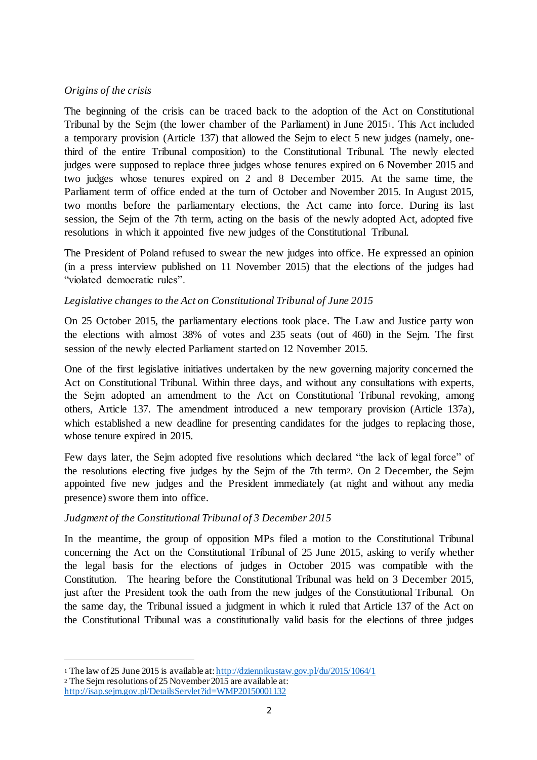#### *Origins of the crisis*

The beginning of the crisis can be traced back to the adoption of the Act on Constitutional Tribunal by the Sejm (the lower chamber of the Parliament) in June 20151. This Act included a temporary provision (Article 137) that allowed the Sejm to elect 5 new judges (namely, onethird of the entire Tribunal composition) to the Constitutional Tribunal. The newly elected judges were supposed to replace three judges whose tenures expired on 6 November 2015 and two judges whose tenures expired on 2 and 8 December 2015. At the same time, the Parliament term of office ended at the turn of October and November 2015. In August 2015, two months before the parliamentary elections, the Act came into force. During its last session, the Sejm of the 7th term, acting on the basis of the newly adopted Act, adopted five resolutions in which it appointed five new judges of the Constitutional Tribunal.

The President of Poland refused to swear the new judges into office. He expressed an opinion (in a press interview published on 11 November 2015) that the elections of the judges had "violated democratic rules".

# *Legislative changes to the Act on Constitutional Tribunal of June 2015*

On 25 October 2015, the parliamentary elections took place. The Law and Justice party won the elections with almost 38% of votes and 235 seats (out of 460) in the Sejm. The first session of the newly elected Parliament started on 12 November 2015.

One of the first legislative initiatives undertaken by the new governing majority concerned the Act on Constitutional Tribunal. Within three days, and without any consultations with experts, the Sejm adopted an amendment to the Act on Constitutional Tribunal revoking, among others, Article 137. The amendment introduced a new temporary provision (Article 137a), which established a new deadline for presenting candidates for the judges to replacing those, whose tenure expired in 2015.

Few days later, the Sejm adopted five resolutions which declared "the lack of legal force" of the resolutions electing five judges by the Sejm of the 7th term2. On 2 December, the Sejm appointed five new judges and the President immediately (at night and without any media presence) swore them into office.

# *Judgment of the Constitutional Tribunal of 3 December 2015*

In the meantime, the group of opposition MPs filed a motion to the Constitutional Tribunal concerning the Act on the Constitutional Tribunal of 25 June 2015, asking to verify whether the legal basis for the elections of judges in October 2015 was compatible with the Constitution. The hearing before the Constitutional Tribunal was held on 3 December 2015, just after the President took the oath from the new judges of the Constitutional Tribunal. On the same day, the Tribunal issued a judgment in which it ruled that Article 137 of the Act on the Constitutional Tribunal was a constitutionally valid basis for the elections of three judges

1

<sup>1</sup> The law of 25 June 2015 is available at: http://dziennikustaw.gov.pl/du/2015/1064/1

<sup>2</sup> The Sejm resolutions of 25 November 2015 are available at:

http://isap.sejm.gov.pl/DetailsServlet?id=WMP20150001132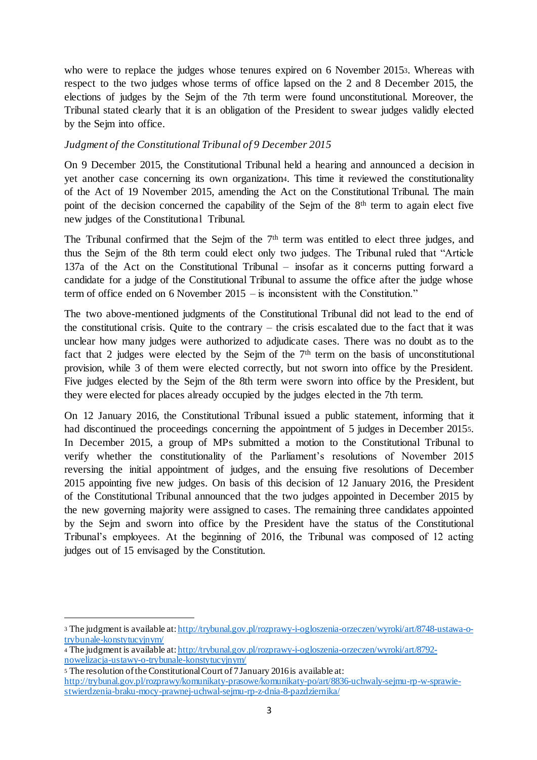who were to replace the judges whose tenures expired on 6 November 20153. Whereas with respect to the two judges whose terms of office lapsed on the 2 and 8 December 2015, the elections of judges by the Sejm of the 7th term were found unconstitutional. Moreover, the Tribunal stated clearly that it is an obligation of the President to swear judges validly elected by the Sejm into office.

# *Judgment of the Constitutional Tribunal of 9 December 2015*

On 9 December 2015, the Constitutional Tribunal held a hearing and announced a decision in yet another case concerning its own organization4. This time it reviewed the constitutionality of the Act of 19 November 2015, amending the Act on the Constitutional Tribunal. The main point of the decision concerned the capability of the Sejm of the 8<sup>th</sup> term to again elect five new judges of the Constitutional Tribunal.

The Tribunal confirmed that the Sejm of the  $7<sup>th</sup>$  term was entitled to elect three judges, and thus the Sejm of the 8th term could elect only two judges. The Tribunal ruled that "Article 137a of the Act on the Constitutional Tribunal – insofar as it concerns putting forward a candidate for a judge of the Constitutional Tribunal to assume the office after the judge whose term of office ended on 6 November 2015 – is inconsistent with the Constitution."

The two above-mentioned judgments of the Constitutional Tribunal did not lead to the end of the constitutional crisis. Quite to the contrary – the crisis escalated due to the fact that it was unclear how many judges were authorized to adjudicate cases. There was no doubt as to the fact that 2 judges were elected by the Sejm of the  $7<sup>th</sup>$  term on the basis of unconstitutional provision, while 3 of them were elected correctly, but not sworn into office by the President. Five judges elected by the Sejm of the 8th term were sworn into office by the President, but they were elected for places already occupied by the judges elected in the 7th term.

On 12 January 2016, the Constitutional Tribunal issued a public statement, informing that it had discontinued the proceedings concerning the appointment of 5 judges in December 20155. In December 2015, a group of MPs submitted a motion to the Constitutional Tribunal to verify whether the constitutionality of the Parliament's resolutions of November 2015 reversing the initial appointment of judges, and the ensuing five resolutions of December 2015 appointing five new judges. On basis of this decision of 12 January 2016, the President of the Constitutional Tribunal announced that the two judges appointed in December 2015 by the new governing majority were assigned to cases. The remaining three candidates appointed by the Sejm and sworn into office by the President have the status of the Constitutional Tribunal's employees. At the beginning of 2016, the Tribunal was composed of 12 acting judges out of 15 envisaged by the Constitution.

1

<sup>3</sup> The judgment is available at: http://trybunal.gov.pl/rozprawy-i-ogloszenia-orzeczen/wyroki/art/8748-ustawa-otrybunale-konstytucyjnym/

<sup>4</sup> The judgment is available at: http://trybunal.gov.pl/rozprawy-i-ogloszenia-orzeczen/wyroki/art/8792 nowelizacja-ustawy-o-trybunale-konstytucyjnym/

<sup>5</sup> The resolution of the Constitutional Court of 7 January 2016 is available at:

http://trybunal.gov.pl/rozprawy/komunikaty-prasowe/komunikaty-po/art/8836-uchwaly-sejmu-rp-w-sprawiestwierdzenia-braku-mocy-prawnej-uchwal-sejmu-rp-z-dnia-8-pazdziernika/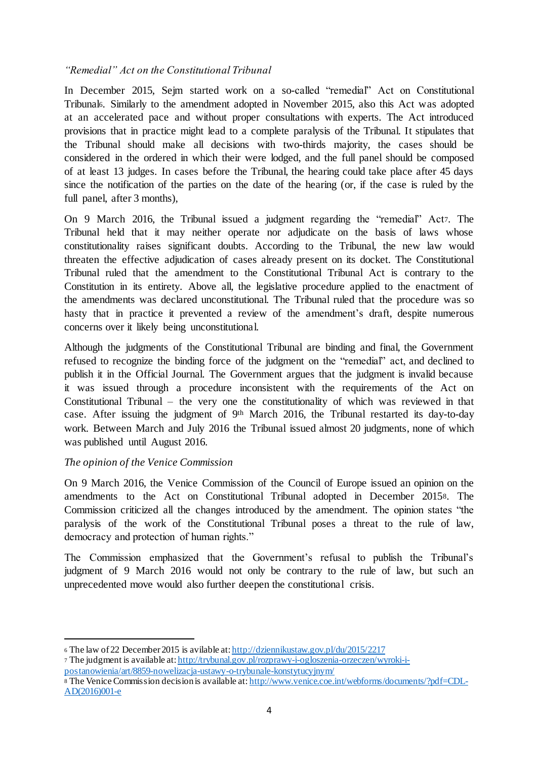#### *"Remedial" Act on the Constitutional Tribunal*

In December 2015, Sejm started work on a so-called "remedial" Act on Constitutional Tribunal6. Similarly to the amendment adopted in November 2015, also this Act was adopted at an accelerated pace and without proper consultations with experts. The Act introduced provisions that in practice might lead to a complete paralysis of the Tribunal. It stipulates that the Tribunal should make all decisions with two-thirds majority, the cases should be considered in the ordered in which their were lodged, and the full panel should be composed of at least 13 judges. In cases before the Tribunal, the hearing could take place after 45 days since the notification of the parties on the date of the hearing (or, if the case is ruled by the full panel, after 3 months),

On 9 March 2016, the Tribunal issued a judgment regarding the "remedial" Act7. The Tribunal held that it may neither operate nor adjudicate on the basis of laws whose constitutionality raises significant doubts. According to the Tribunal, the new law would threaten the effective adjudication of cases already present on its docket. The Constitutional Tribunal ruled that the amendment to the Constitutional Tribunal Act is contrary to the Constitution in its entirety. Above all, the legislative procedure applied to the enactment of the amendments was declared unconstitutional. The Tribunal ruled that the procedure was so hasty that in practice it prevented a review of the amendment's draft, despite numerous concerns over it likely being unconstitutional.

Although the judgments of the Constitutional Tribunal are binding and final, the Government refused to recognize the binding force of the judgment on the "remedial" act, and declined to publish it in the Official Journal. The Government argues that the judgment is invalid because it was issued through a procedure inconsistent with the requirements of the Act on Constitutional Tribunal – the very one the constitutionality of which was reviewed in that case. After issuing the judgment of 9th March 2016, the Tribunal restarted its day-to-day work. Between March and July 2016 the Tribunal issued almost 20 judgments, none of which was published until August 2016.

# *The opinion of the Venice Commission*

1

On 9 March 2016, the Venice Commission of the Council of Europe issued an opinion on the amendments to the Act on Constitutional Tribunal adopted in December 20158. The Commission criticized all the changes introduced by the amendment. The opinion states "the paralysis of the work of the Constitutional Tribunal poses a threat to the rule of law, democracy and protection of human rights."

The Commission emphasized that the Government's refusal to publish the Tribunal's judgment of 9 March 2016 would not only be contrary to the rule of law, but such an unprecedented move would also further deepen the constitutional crisis.

<sup>6</sup> The law of 22 December 2015 is avilable at: http://dziennikustaw.gov.pl/du/2015/2217 <sup>7</sup> The judgment is available at: http://trybunal.gov.pl/rozprawy-i-ogloszenia-orzeczen/wyroki-ipostanowienia/art/8859-nowelizacja-ustawy-o-trybunale-konstytucyjnym/

<sup>8</sup> The Venice Commission decision is available at: http://www.venice.coe.int/webforms/documents/?pdf=CDL-AD(2016)001-e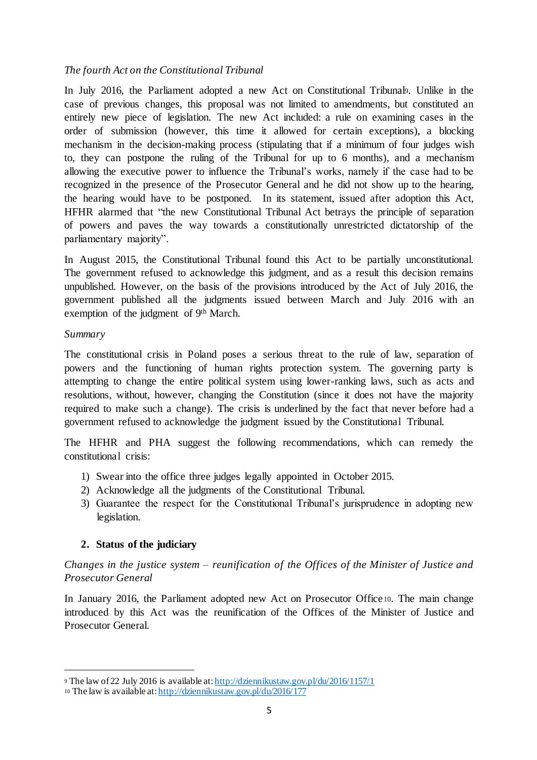#### *The fourth Act on the Constitutional Tribunal*

In July 2016, the Parliament adopted a new Act on Constitutional Tribunal9. Unlike in the case of previous changes, this proposal was not limited to amendments, but constituted an entirely new piece of legislation. The new Act included: a rule on examining cases in the order of submission (however, this time it allowed for certain exceptions), a blocking mechanism in the decision-making process (stipulating that if a minimum of four judges wish to, they can postpone the ruling of the Tribunal for up to 6 months), and a mechanism allowing the executive power to influence the Tribunal's works, namely if the case had to be recognized in the presence of the Prosecutor General and he did not show up to the hearing, the hearing would have to be postponed. In its statement, issued after adoption this Act, HFHR alarmed that "the new Constitutional Tribunal Act betrays the principle of separation of powers and paves the way towards a constitutionally unrestricted dictatorship of the parliamentary majority".

In August 2015, the Constitutional Tribunal found this Act to be partially unconstitutional. The government refused to acknowledge this judgment, and as a result this decision remains unpublished. However, on the basis of the provisions introduced by the Act of July 2016, the government published all the judgments issued between March and July 2016 with an exemption of the judgment of 9th March.

#### *Summary*

1

The constitutional crisis in Poland poses a serious threat to the rule of law, separation of powers and the functioning of human rights protection system. The governing party is attempting to change the entire political system using lower-ranking laws, such as acts and resolutions, without, however, changing the Constitution (since it does not have the majority required to make such a change). The crisis is underlined by the fact that never before had a government refused to acknowledge the judgment issued by the Constitutional Tribunal.

The HFHR and PHA suggest the following recommendations, which can remedy the constitutional crisis:

- 1) Swear into the office three judges legally appointed in October 2015.
- 2) Acknowledge all the judgments of the Constitutional Tribunal.
- 3) Guarantee the respect for the Constitutional Tribunal's jurisprudence in adopting new legislation.

# **2. Status of the judiciary**

*Changes in the justice system – reunification of the Offices of the Minister of Justice and Prosecutor General*

In January 2016, the Parliament adopted new Act on Prosecutor Office10. The main change introduced by this Act was the reunification of the Offices of the Minister of Justice and Prosecutor General.

<sup>9</sup> The law of 22 July 2016 is available at: http://dziennikustaw.gov.pl/du/2016/1157/1

<sup>10</sup> The law is available at: http://dziennikustaw.gov.pl/du/2016/177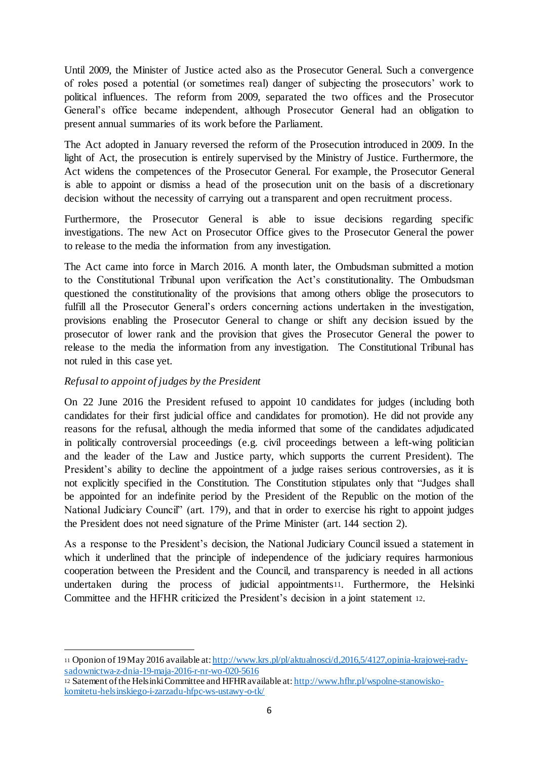Until 2009, the Minister of Justice acted also as the Prosecutor General. Such a convergence of roles posed a potential (or sometimes real) danger of subjecting the prosecutors' work to political influences. The reform from 2009, separated the two offices and the Prosecutor General's office became independent, although Prosecutor General had an obligation to present annual summaries of its work before the Parliament.

The Act adopted in January reversed the reform of the Prosecution introduced in 2009. In the light of Act, the prosecution is entirely supervised by the Ministry of Justice. Furthermore, the Act widens the competences of the Prosecutor General. For example, the Prosecutor General is able to appoint or dismiss a head of the prosecution unit on the basis of a discretionary decision without the necessity of carrying out a transparent and open recruitment process.

Furthermore, the Prosecutor General is able to issue decisions regarding specific investigations. The new Act on Prosecutor Office gives to the Prosecutor General the power to release to the media the information from any investigation.

The Act came into force in March 2016. A month later, the Ombudsman submitted a motion to the Constitutional Tribunal upon verification the Act's constitutionality. The Ombudsman questioned the constitutionality of the provisions that among others oblige the prosecutors to fulfill all the Prosecutor General's orders concerning actions undertaken in the investigation, provisions enabling the Prosecutor General to change or shift any decision issued by the prosecutor of lower rank and the provision that gives the Prosecutor General the power to release to the media the information from any investigation. The Constitutional Tribunal has not ruled in this case yet.

# *Refusal to appoint of judges by the President*

On 22 June 2016 the President refused to appoint 10 candidates for judges (including both candidates for their first judicial office and candidates for promotion). He did not provide any reasons for the refusal, although the media informed that some of the candidates adjudicated in politically controversial proceedings (e.g. civil proceedings between a left-wing politician and the leader of the Law and Justice party, which supports the current President). The President's ability to decline the appointment of a judge raises serious controversies, as it is not explicitly specified in the Constitution. The Constitution stipulates only that "Judges shall be appointed for an indefinite period by the President of the Republic on the motion of the National Judiciary Council" (art. 179), and that in order to exercise his right to appoint judges the President does not need signature of the Prime Minister (art. 144 section 2).

As a response to the President's decision, the National Judiciary Council issued a statement in which it underlined that the principle of independence of the judiciary requires harmonious cooperation between the President and the Council, and transparency is needed in all actions undertaken during the process of judicial appointments11. Furthermore, the Helsinki Committee and the HFHR criticized the President's decision in a joint statement 12.

<sup>1</sup> <sup>11</sup> Oponion of 19 May 2016 available at: http://www.krs.pl/pl/aktualnosci/d,2016,5/4127,opinia-krajowej-radysadownictwa-z-dnia-19-maja-2016-r-nr-wo-020-5616

<sup>12</sup> Satement of the Helsinki Committee and HFHR available at: http://www.hfhr.pl/wspolne-stanowiskokomitetu-helsinskiego-i-zarzadu-hfpc-ws-ustawy-o-tk/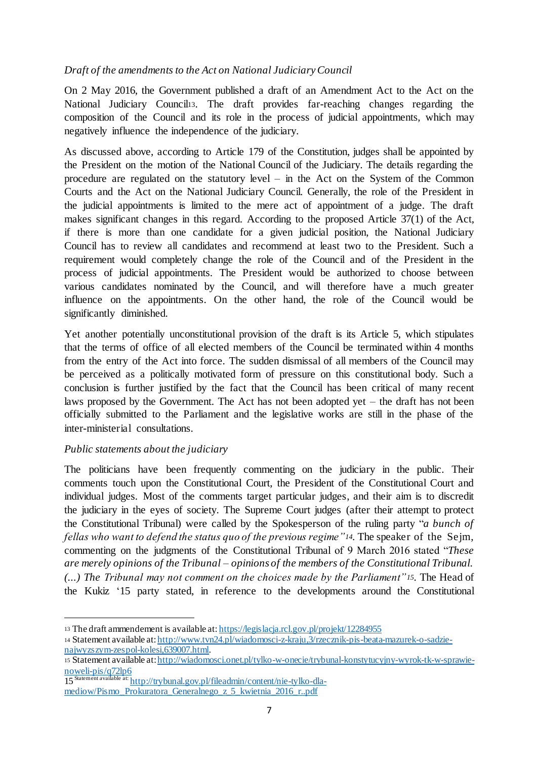# *Draft of the amendments to the Act on National Judiciary Council*

On 2 May 2016, the Government published a draft of an Amendment Act to the Act on the National Judiciary Council13. The draft provides far-reaching changes regarding the composition of the Council and its role in the process of judicial appointments, which may negatively influence the independence of the judiciary.

As discussed above, according to Article 179 of the Constitution, judges shall be appointed by the President on the motion of the National Council of the Judiciary. The details regarding the procedure are regulated on the statutory level – in the Act on the System of the Common Courts and the Act on the National Judiciary Council. Generally, the role of the President in the judicial appointments is limited to the mere act of appointment of a judge. The draft makes significant changes in this regard. According to the proposed Article 37(1) of the Act, if there is more than one candidate for a given judicial position, the National Judiciary Council has to review all candidates and recommend at least two to the President. Such a requirement would completely change the role of the Council and of the President in the process of judicial appointments. The President would be authorized to choose between various candidates nominated by the Council, and will therefore have a much greater influence on the appointments. On the other hand, the role of the Council would be significantly diminished.

Yet another potentially unconstitutional provision of the draft is its Article 5, which stipulates that the terms of office of all elected members of the Council be terminated within 4 months from the entry of the Act into force. The sudden dismissal of all members of the Council may be perceived as a politically motivated form of pressure on this constitutional body. Such a conclusion is further justified by the fact that the Council has been critical of many recent laws proposed by the Government. The Act has not been adopted yet – the draft has not been officially submitted to the Parliament and the legislative works are still in the phase of the inter-ministerial consultations.

#### *Public statements about the judiciary*

1

The politicians have been frequently commenting on the judiciary in the public. Their comments touch upon the Constitutional Court, the President of the Constitutional Court and individual judges. Most of the comments target particular judges, and their aim is to discredit the judiciary in the eyes of society. The Supreme Court judges (after their attempt to protect the Constitutional Tribunal) were called by the Spokesperson of the ruling party "*a bunch of fellas who want to defend the status quo of the previous regime"14.* The speaker of the Sejm, commenting on the judgments of the Constitutional Tribunal of 9 March 2016 stated "*These are merely opinions of the Tribunal – opinions of the members of the Constitutional Tribunal. (...) The Tribunal may not comment on the choices made by the Parliament"15.* The Head of the Kukiz '15 party stated, in reference to the developments around the Constitutional

<sup>14</sup> Statement available at: http://www.tvn24.pl/wiadomosci-z-kraju,3/rzecznik-pis-beata-mazurek-o-sadzienajwyzszym-zespol-kolesi,639007.html.

<sup>15</sup> Statement available at: http://wiadomosci.onet.pl/tylko-w-onecie/trybunal-konstytucyjny-wyrok-tk-w-sprawienoweli-pis/q72lp6

<sup>13</sup> The draft ammendement is available at: https://legislacja.rcl.gov.pl/projekt/12284955

<sup>15</sup> Statement available at: http://trybunal.gov.pl/fileadmin/content/nie-tylko-dlamediow/Pismo\_Prokuratora\_Generalnego\_z\_5\_kwietnia\_2016\_r..pdf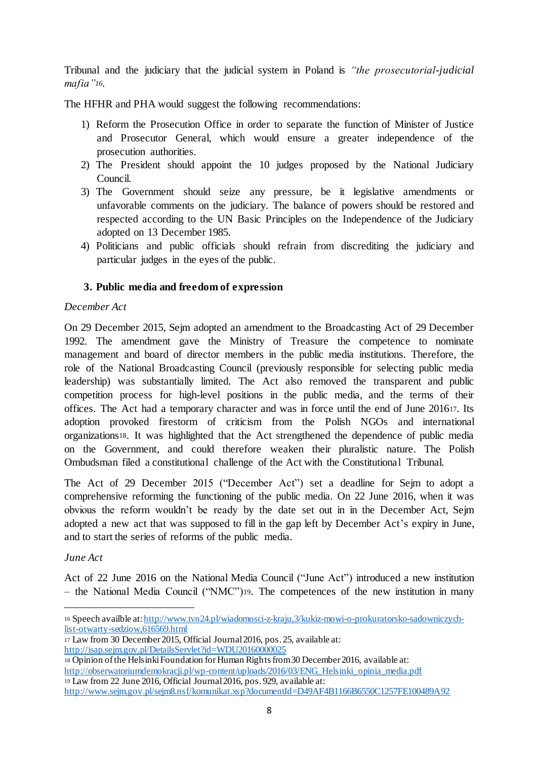Tribunal and the judiciary that the judicial system in Poland is *"the prosecutorial-judicial mafia"16.*

The HFHR and PHA would suggest the following recommendations:

- 1) Reform the Prosecution Office in order to separate the function of Minister of Justice and Prosecutor General, which would ensure a greater independence of the prosecution authorities.
- 2) The President should appoint the 10 judges proposed by the National Judiciary Council.
- 3) The Government should seize any pressure, be it legislative amendments or unfavorable comments on the judiciary. The balance of powers should be restored and respected according to the UN Basic Principles on the Independence of the Judiciary adopted on 13 December 1985.
- 4) Politicians and public officials should refrain from discrediting the judiciary and particular judges in the eyes of the public.

# **3. Public media and freedom of expression**

#### *December Act*

On 29 December 2015, Sejm adopted an amendment to the Broadcasting Act of 29 December 1992. The amendment gave the Ministry of Treasure the competence to nominate management and board of director members in the public media institutions. Therefore, the role of the National Broadcasting Council (previously responsible for selecting public media leadership) was substantially limited. The Act also removed the transparent and public competition process for high-level positions in the public media, and the terms of their offices. The Act had a temporary character and was in force until the end of June 201617. Its adoption provoked firestorm of criticism from the Polish NGOs and international organizations18. It was highlighted that the Act strengthened the dependence of public media on the Government, and could therefore weaken their pluralistic nature. The Polish Ombudsman filed a constitutional challenge of the Act with the Constitutional Tribunal.

The Act of 29 December 2015 ("December Act") set a deadline for Sejm to adopt a comprehensive reforming the functioning of the public media. On 22 June 2016, when it was obvious the reform wouldn't be ready by the date set out in in the December Act, Sejm adopted a new act that was supposed to fill in the gap left by December Act's expiry in June, and to start the series of reforms of the public media.

# *June Act*

Act of 22 June 2016 on the National Media Council ("June Act") introduced a new institution – the National Media Council ("NMC")19. The competences of the new institution in many

<sup>17</sup> Law from 30 December 2015, Official Journal 2016, pos. 25, available at:

<sup>1</sup> <sup>16</sup> Speech availble at: http://www.tvn24.pl/wiadomosci-z-kraju,3/kukiz-mowi-o-prokuratorsko-sadowniczychlist-otwarty-sedziow,616569.html

http://isap.sejm.gov.pl/DetailsServlet?id=WDU20160000025

<sup>18</sup> Opinion of the Helsinki Foundation for Human Rights from 30 December 2016, available at: http://obserwatoriumdemokracji.pl/wp-content/uploads/2016/03/ENG\_Helsinki\_opinia\_media.pdf <sup>19</sup> Law from 22 June 2016, Official Journal 2016, pos. 929, available at:

http://www.sejm.gov.pl/sejm8.nsf/komunikat.xsp?documentId=D49AF4B1166B6550C1257FE100489A92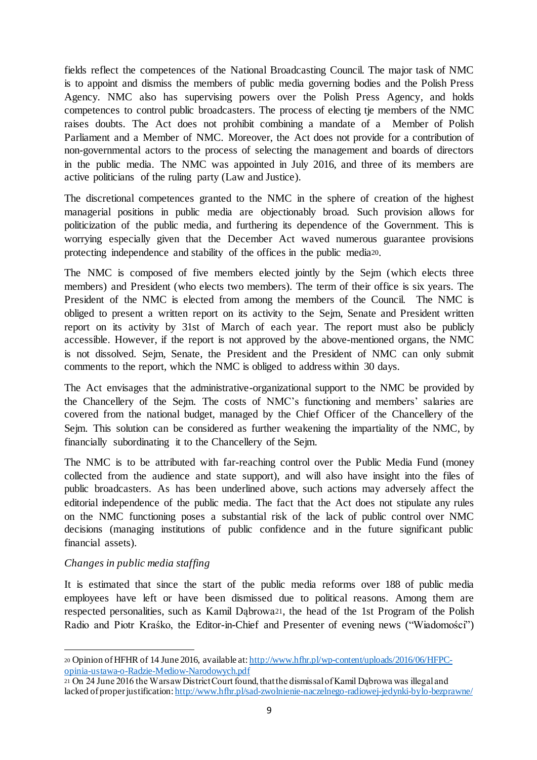fields reflect the competences of the National Broadcasting Council. The major task of NMC is to appoint and dismiss the members of public media governing bodies and the Polish Press Agency. NMC also has supervising powers over the Polish Press Agency, and holds competences to control public broadcasters. The process of electing tje members of the NMC raises doubts. The Act does not prohibit combining a mandate of a Member of Polish Parliament and a Member of NMC. Moreover, the Act does not provide for a contribution of non-governmental actors to the process of selecting the management and boards of directors in the public media. The NMC was appointed in July 2016, and three of its members are active politicians of the ruling party (Law and Justice).

The discretional competences granted to the NMC in the sphere of creation of the highest managerial positions in public media are objectionably broad. Such provision allows for politicization of the public media, and furthering its dependence of the Government. This is worrying especially given that the December Act waved numerous guarantee provisions protecting independence and stability of the offices in the public media20.

The NMC is composed of five members elected jointly by the Sejm (which elects three members) and President (who elects two members). The term of their office is six years. The President of the NMC is elected from among the members of the Council. The NMC is obliged to present a written report on its activity to the Sejm, Senate and President written report on its activity by 31st of March of each year. The report must also be publicly accessible. However, if the report is not approved by the above-mentioned organs, the NMC is not dissolved. Sejm, Senate, the President and the President of NMC can only submit comments to the report, which the NMC is obliged to address within 30 days.

The Act envisages that the administrative-organizational support to the NMC be provided by the Chancellery of the Sejm. The costs of NMC's functioning and members' salaries are covered from the national budget, managed by the Chief Officer of the Chancellery of the Sejm. This solution can be considered as further weakening the impartiality of the NMC, by financially subordinating it to the Chancellery of the Sejm.

The NMC is to be attributed with far-reaching control over the Public Media Fund (money collected from the audience and state support), and will also have insight into the files of public broadcasters. As has been underlined above, such actions may adversely affect the editorial independence of the public media. The fact that the Act does not stipulate any rules on the NMC functioning poses a substantial risk of the lack of public control over NMC decisions (managing institutions of public confidence and in the future significant public financial assets).

# *Changes in public media staffing*

It is estimated that since the start of the public media reforms over 188 of public media employees have left or have been dismissed due to political reasons. Among them are respected personalities, such as Kamil Dąbrowa21, the head of the 1st Program of the Polish Radio and Piotr Kraśko, the Editor-in-Chief and Presenter of evening news ("Wiadomości")

<sup>1</sup> <sup>20</sup> Opinion of HFHR of 14 June 2016, available at: http://www.hfhr.pl/wp-content/uploads/2016/06/HFPCopinia-ustawa-o-Radzie-Mediow-Narodowych.pdf

<sup>21</sup> On 24 June 2016 the Warsaw District Court found, that the dismissal of Kamil Dąbrowa was illegal and lacked of proper justification: http://www.hfhr.pl/sad-zwolnienie-naczelnego-radiowej-jedynki-bylo-bezprawne/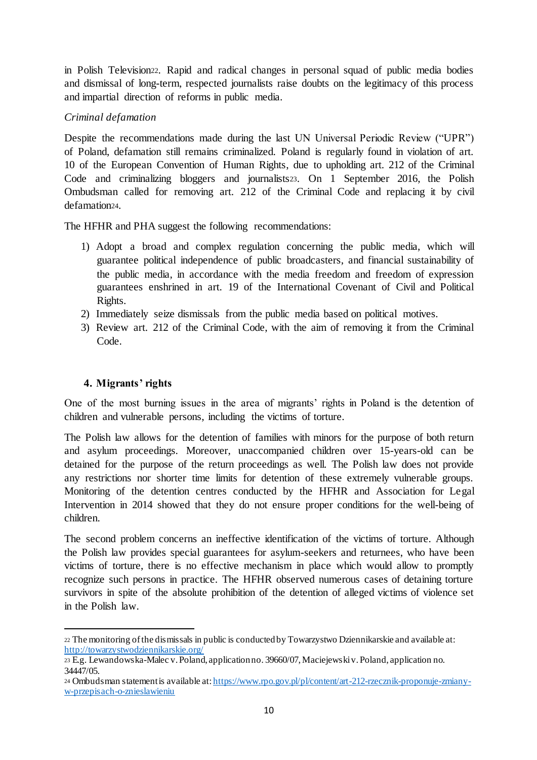in Polish Television22. Rapid and radical changes in personal squad of public media bodies and dismissal of long-term, respected journalists raise doubts on the legitimacy of this process and impartial direction of reforms in public media.

# *Criminal defamation*

Despite the recommendations made during the last UN Universal Periodic Review ("UPR") of Poland, defamation still remains criminalized. Poland is regularly found in violation of art. 10 of the European Convention of Human Rights, due to upholding art. 212 of the Criminal Code and criminalizing bloggers and journalists23. On 1 September 2016, the Polish Ombudsman called for removing art. 212 of the Criminal Code and replacing it by civil defamation24.

The HFHR and PHA suggest the following recommendations:

- 1) Adopt a broad and complex regulation concerning the public media, which will guarantee political independence of public broadcasters, and financial sustainability of the public media, in accordance with the media freedom and freedom of expression guarantees enshrined in art. 19 of the International Covenant of Civil and Political Rights.
- 2) Immediately seize dismissals from the public media based on political motives.
- 3) Review art. 212 of the Criminal Code, with the aim of removing it from the Criminal Code.

# **4. Migrants' rights**

1

One of the most burning issues in the area of migrants' rights in Poland is the detention of children and vulnerable persons, including the victims of torture.

The Polish law allows for the detention of families with minors for the purpose of both return and asylum proceedings. Moreover, unaccompanied children over 15-years-old can be detained for the purpose of the return proceedings as well. The Polish law does not provide any restrictions nor shorter time limits for detention of these extremely vulnerable groups. Monitoring of the detention centres conducted by the HFHR and Association for Legal Intervention in 2014 showed that they do not ensure proper conditions for the well-being of children.

The second problem concerns an ineffective identification of the victims of torture. Although the Polish law provides special guarantees for asylum-seekers and returnees, who have been victims of torture, there is no effective mechanism in place which would allow to promptly recognize such persons in practice. The HFHR observed numerous cases of detaining torture survivors in spite of the absolute prohibition of the detention of alleged victims of violence set in the Polish law.

<sup>22</sup> The monitoring of the dismissals in public is conducted by Towarzystwo Dziennikarskie and available at: http://towarzystwodziennikarskie.org/

<sup>23</sup> E.g. Lewandowska-Malec v. Poland, application no. 39660/07, Maciejewski v. Poland, application no. 34447/05.

<sup>24</sup> Ombudsman statement is available at: https://www.rpo.gov.pl/pl/content/art-212-rzecznik-proponuje-zmianyw-przepisach-o-znieslawieniu